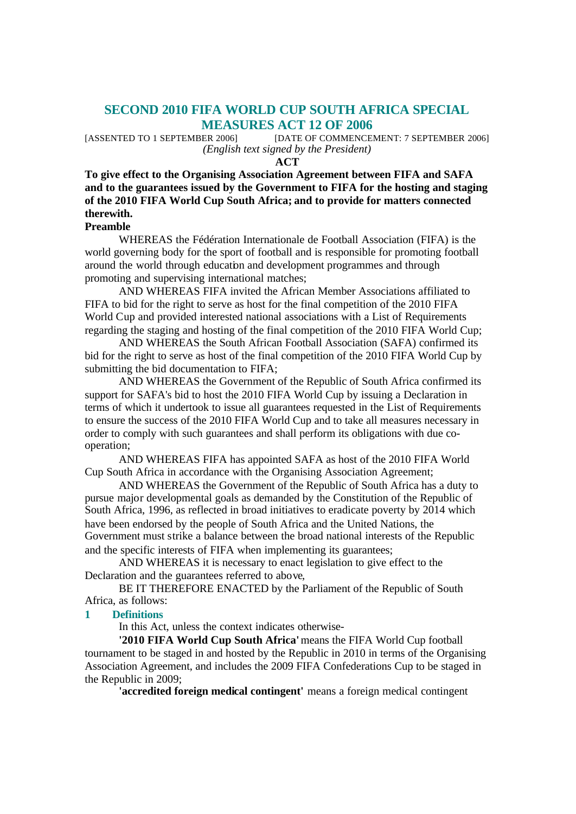# **SECOND 2010 FIFA WORLD CUP SOUTH AFRICA SPECIAL MEASURES ACT 12 OF 2006**

[ASSENTED TO 1 SEPTEMBER 2006] [DATE OF COMMENCEMENT: 7 SEPTEMBER 2006] *(English text signed by the President)*

**ACT**

**To give effect to the Organising Association Agreement between FIFA and SAFA and to the guarantees issued by the Government to FIFA for the hosting and staging of the 2010 FIFA World Cup South Africa; and to provide for matters connected therewith.**

### **Preamble**

WHEREAS the Fédération Internationale de Football Association (FIFA) is the world governing body for the sport of football and is responsible for promoting football around the world through education and development programmes and through promoting and supervising international matches;

AND WHEREAS FIFA invited the African Member Associations affiliated to FIFA to bid for the right to serve as host for the final competition of the 2010 FIFA World Cup and provided interested national associations with a List of Requirements regarding the staging and hosting of the final competition of the 2010 FIFA World Cup;

AND WHEREAS the South African Football Association (SAFA) confirmed its bid for the right to serve as host of the final competition of the 2010 FIFA World Cup by submitting the bid documentation to FIFA;

AND WHEREAS the Government of the Republic of South Africa confirmed its support for SAFA's bid to host the 2010 FIFA World Cup by issuing a Declaration in terms of which it undertook to issue all guarantees requested in the List of Requirements to ensure the success of the 2010 FIFA World Cup and to take all measures necessary in order to comply with such guarantees and shall perform its obligations with due cooperation;

AND WHEREAS FIFA has appointed SAFA as host of the 2010 FIFA World Cup South Africa in accordance with the Organising Association Agreement;

AND WHEREAS the Government of the Republic of South Africa has a duty to pursue major developmental goals as demanded by the Constitution of the Republic of South Africa, 1996, as reflected in broad initiatives to eradicate poverty by 2014 which have been endorsed by the people of South Africa and the United Nations, the Government must strike a balance between the broad national interests of the Republic and the specific interests of FIFA when implementing its guarantees;

AND WHEREAS it is necessary to enact legislation to give effect to the Declaration and the guarantees referred to above,

BE IT THEREFORE ENACTED by the Parliament of the Republic of South Africa, as follows:

#### **1 Definitions**

In this Act, unless the context indicates otherwise-

**'2010 FIFA World Cup South Africa'** means the FIFA World Cup football tournament to be staged in and hosted by the Republic in 2010 in terms of the Organising Association Agreement, and includes the 2009 FIFA Confederations Cup to be staged in the Republic in 2009;

**'accredited foreign medical contingent'** means a foreign medical contingent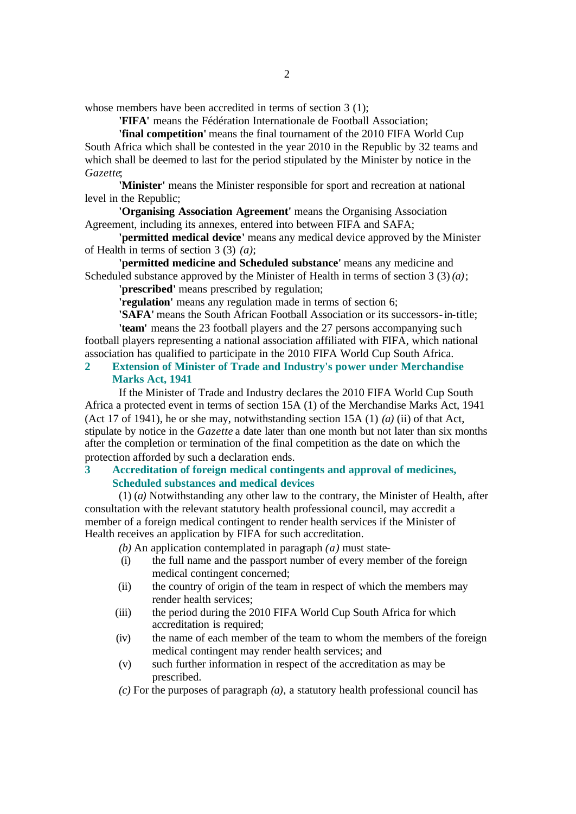whose members have been accredited in terms of section 3 (1);

**'FIFA'** means the Fédération Internationale de Football Association;

**'final competition'** means the final tournament of the 2010 FIFA World Cup South Africa which shall be contested in the year 2010 in the Republic by 32 teams and which shall be deemed to last for the period stipulated by the Minister by notice in the *Gazette*;

**'Minister'** means the Minister responsible for sport and recreation at national level in the Republic;

**'Organising Association Agreement'** means the Organising Association Agreement, including its annexes, entered into between FIFA and SAFA;

**'permitted medical device'** means any medical device approved by the Minister of Health in terms of section 3 (3) *(a)*;

**'permitted medicine and Scheduled substance'** means any medicine and Scheduled substance approved by the Minister of Health in terms of section 3 (3) *(a)*;

**'prescribed'** means prescribed by regulation;

**'regulation'** means any regulation made in terms of section 6;

**'SAFA'** means the South African Football Association or its successors-in-title; **'team'** means the 23 football players and the 27 persons accompanying such

football players representing a national association affiliated with FIFA, which national association has qualified to participate in the 2010 FIFA World Cup South Africa.

### **2 Extension of Minister of Trade and Industry's power under Merchandise Marks Act, 1941**

If the Minister of Trade and Industry declares the 2010 FIFA World Cup South Africa a protected event in terms of section 15A (1) of the Merchandise Marks Act, 1941 (Act 17 of 1941), he or she may, notwithstanding section 15A (1) *(a)* (ii) of that Act, stipulate by notice in the *Gazette* a date later than one month but not later than six months after the completion or termination of the final competition as the date on which the protection afforded by such a declaration ends.

## **3 Accreditation of foreign medical contingents and approval of medicines, Scheduled substances and medical devices**

(1) (*a)* Notwithstanding any other law to the contrary, the Minister of Health, after consultation with the relevant statutory health professional council, may accredit a member of a foreign medical contingent to render health services if the Minister of Health receives an application by FIFA for such accreditation.

*(b)* An application contemplated in paragraph *(a)* must state-

- (i) the full name and the passport number of every member of the foreign medical contingent concerned;
- (ii) the country of origin of the team in respect of which the members may render health services;
- (iii) the period during the 2010 FIFA World Cup South Africa for which accreditation is required;
- (iv) the name of each member of the team to whom the members of the foreign medical contingent may render health services; and
- (v) such further information in respect of the accreditation as may be prescribed.
- *(c)* For the purposes of paragraph *(a)*, a statutory health professional council has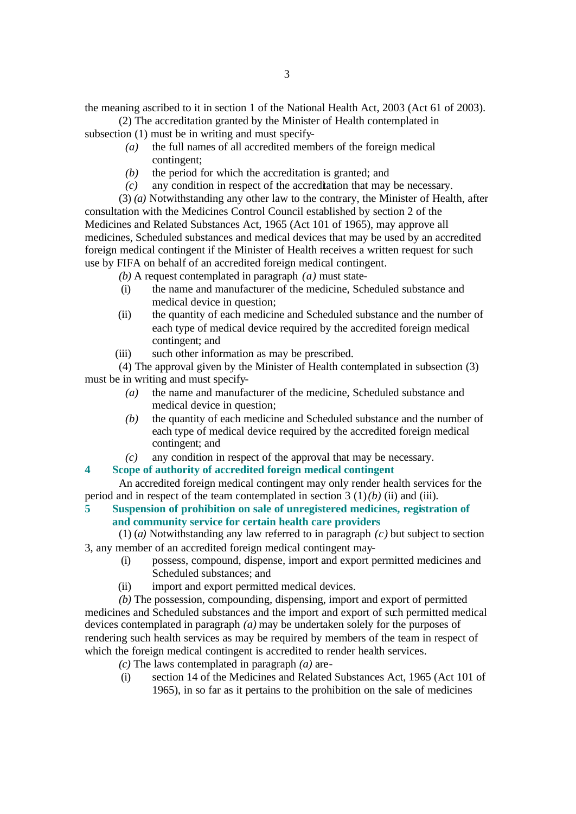the meaning ascribed to it in section 1 of the National Health Act, 2003 (Act 61 of 2003).

(2) The accreditation granted by the Minister of Health contemplated in subsection (1) must be in writing and must specify-

- *(a)* the full names of all accredited members of the foreign medical contingent;
- *(b)* the period for which the accreditation is granted; and
- *(c)* any condition in respect of the accreditation that may be necessary.

(3) *(a)* Notwithstanding any other law to the contrary, the Minister of Health, after consultation with the Medicines Control Council established by section 2 of the Medicines and Related Substances Act, 1965 (Act 101 of 1965), may approve all medicines, Scheduled substances and medical devices that may be used by an accredited foreign medical contingent if the Minister of Health receives a written request for such use by FIFA on behalf of an accredited foreign medical contingent.

*(b)* A request contemplated in paragraph *(a)* must state-

- (i) the name and manufacturer of the medicine, Scheduled substance and medical device in question;
- (ii) the quantity of each medicine and Scheduled substance and the number of each type of medical device required by the accredited foreign medical contingent; and
- (iii) such other information as may be prescribed.

(4) The approval given by the Minister of Health contemplated in subsection (3) must be in writing and must specify-

- *(a)* the name and manufacturer of the medicine, Scheduled substance and medical device in question;
- *(b)* the quantity of each medicine and Scheduled substance and the number of each type of medical device required by the accredited foreign medical contingent; and
- *(c)* any condition in respect of the approval that may be necessary.

### **4 Scope of authority of accredited foreign medical contingent**

An accredited foreign medical contingent may only render health services for the period and in respect of the team contemplated in section  $3(1)(b)$  (ii) and (iii).

### **5 Suspension of prohibition on sale of unregistered medicines, registration of and community service for certain health care providers**

(1) (*a)* Notwithstanding any law referred to in paragraph *(c)* but subject to section 3, any member of an accredited foreign medical contingent may-

- (i) possess, compound, dispense, import and export permitted medicines and Scheduled substances; and
- (ii) import and export permitted medical devices.

*(b)* The possession, compounding, dispensing, import and export of permitted medicines and Scheduled substances and the import and export of such permitted medical devices contemplated in paragraph *(a)* may be undertaken solely for the purposes of rendering such health services as may be required by members of the team in respect of which the foreign medical contingent is accredited to render health services.

- *(c)* The laws contemplated in paragraph *(a)* are-
- (i) section 14 of the Medicines and Related Substances Act, 1965 (Act 101 of 1965), in so far as it pertains to the prohibition on the sale of medicines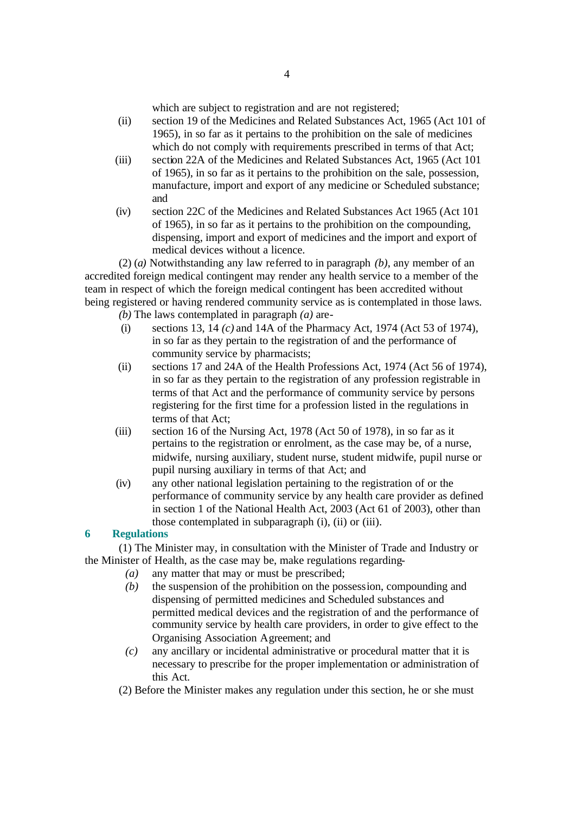which are subject to registration and are not registered;

- (ii) section 19 of the Medicines and Related Substances Act, 1965 (Act 101 of 1965), in so far as it pertains to the prohibition on the sale of medicines which do not comply with requirements prescribed in terms of that Act;
- (iii) section 22A of the Medicines and Related Substances Act, 1965 (Act 101 of 1965), in so far as it pertains to the prohibition on the sale, possession, manufacture, import and export of any medicine or Scheduled substance; and
- (iv) section 22C of the Medicines and Related Substances Act 1965 (Act 101 of 1965), in so far as it pertains to the prohibition on the compounding, dispensing, import and export of medicines and the import and export of medical devices without a licence.

(2) (*a)* Notwithstanding any law referred to in paragraph *(b)*, any member of an accredited foreign medical contingent may render any health service to a member of the team in respect of which the foreign medical contingent has been accredited without being registered or having rendered community service as is contemplated in those laws.

- *(b)* The laws contemplated in paragraph *(a)* are-
- (i) sections 13, 14 *(c)* and 14A of the Pharmacy Act, 1974 (Act 53 of 1974), in so far as they pertain to the registration of and the performance of community service by pharmacists;
- (ii) sections 17 and 24A of the Health Professions Act, 1974 (Act 56 of 1974), in so far as they pertain to the registration of any profession registrable in terms of that Act and the performance of community service by persons registering for the first time for a profession listed in the regulations in terms of that Act;
- (iii) section 16 of the Nursing Act, 1978 (Act 50 of 1978), in so far as it pertains to the registration or enrolment, as the case may be, of a nurse, midwife, nursing auxiliary, student nurse, student midwife, pupil nurse or pupil nursing auxiliary in terms of that Act; and
- (iv) any other national legislation pertaining to the registration of or the performance of community service by any health care provider as defined in section 1 of the National Health Act, 2003 (Act 61 of 2003), other than those contemplated in subparagraph (i), (ii) or (iii).

### **6 Regulations**

(1) The Minister may, in consultation with the Minister of Trade and Industry or the Minister of Health, as the case may be, make regulations regarding-

- *(a)* any matter that may or must be prescribed;
- *(b)* the suspension of the prohibition on the possession, compounding and dispensing of permitted medicines and Scheduled substances and permitted medical devices and the registration of and the performance of community service by health care providers, in order to give effect to the Organising Association Agreement; and
- *(c)* any ancillary or incidental administrative or procedural matter that it is necessary to prescribe for the proper implementation or administration of this Act.
- (2) Before the Minister makes any regulation under this section, he or she must